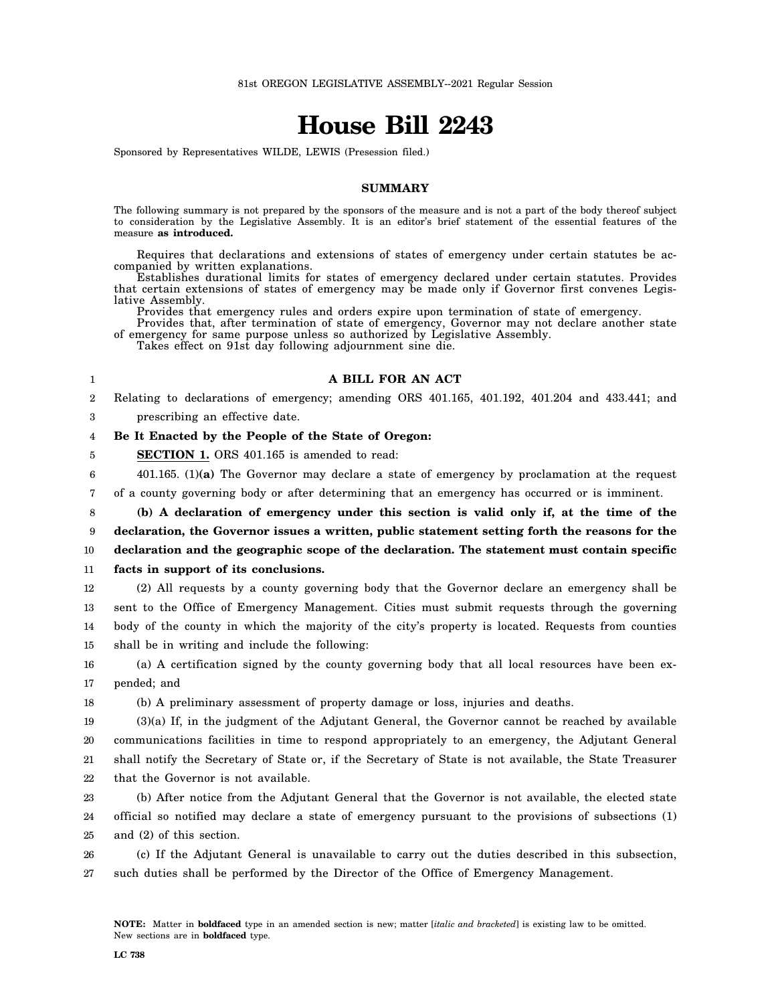# **House Bill 2243**

Sponsored by Representatives WILDE, LEWIS (Presession filed.)

### **SUMMARY**

The following summary is not prepared by the sponsors of the measure and is not a part of the body thereof subject to consideration by the Legislative Assembly. It is an editor's brief statement of the essential features of the measure **as introduced.**

Requires that declarations and extensions of states of emergency under certain statutes be accompanied by written explanations.

Establishes durational limits for states of emergency declared under certain statutes. Provides that certain extensions of states of emergency may be made only if Governor first convenes Legislative Assembly.

Provides that emergency rules and orders expire upon termination of state of emergency.

Provides that, after termination of state of emergency, Governor may not declare another state of emergency for same purpose unless so authorized by Legislative Assembly.

Takes effect on 91st day following adjournment sine die.

1

### **A BILL FOR AN ACT**

2 Relating to declarations of emergency; amending ORS 401.165, 401.192, 401.204 and 433.441; and

3 prescribing an effective date.

#### 4 **Be It Enacted by the People of the State of Oregon:**

5 **SECTION 1.** ORS 401.165 is amended to read:

- 6 401.165. (1)**(a)** The Governor may declare a state of emergency by proclamation at the request
- 7 of a county governing body or after determining that an emergency has occurred or is imminent.

8 **(b) A declaration of emergency under this section is valid only if, at the time of the**

9 **declaration, the Governor issues a written, public statement setting forth the reasons for the**

10 **declaration and the geographic scope of the declaration. The statement must contain specific**

11 **facts in support of its conclusions.**

12 13 14 15 (2) All requests by a county governing body that the Governor declare an emergency shall be sent to the Office of Emergency Management. Cities must submit requests through the governing body of the county in which the majority of the city's property is located. Requests from counties shall be in writing and include the following:

16 17 (a) A certification signed by the county governing body that all local resources have been expended; and

18 (b) A preliminary assessment of property damage or loss, injuries and deaths.

19 20 21 22 (3)(a) If, in the judgment of the Adjutant General, the Governor cannot be reached by available communications facilities in time to respond appropriately to an emergency, the Adjutant General shall notify the Secretary of State or, if the Secretary of State is not available, the State Treasurer that the Governor is not available.

23 24 25 (b) After notice from the Adjutant General that the Governor is not available, the elected state official so notified may declare a state of emergency pursuant to the provisions of subsections (1) and (2) of this section.

26 27 (c) If the Adjutant General is unavailable to carry out the duties described in this subsection, such duties shall be performed by the Director of the Office of Emergency Management.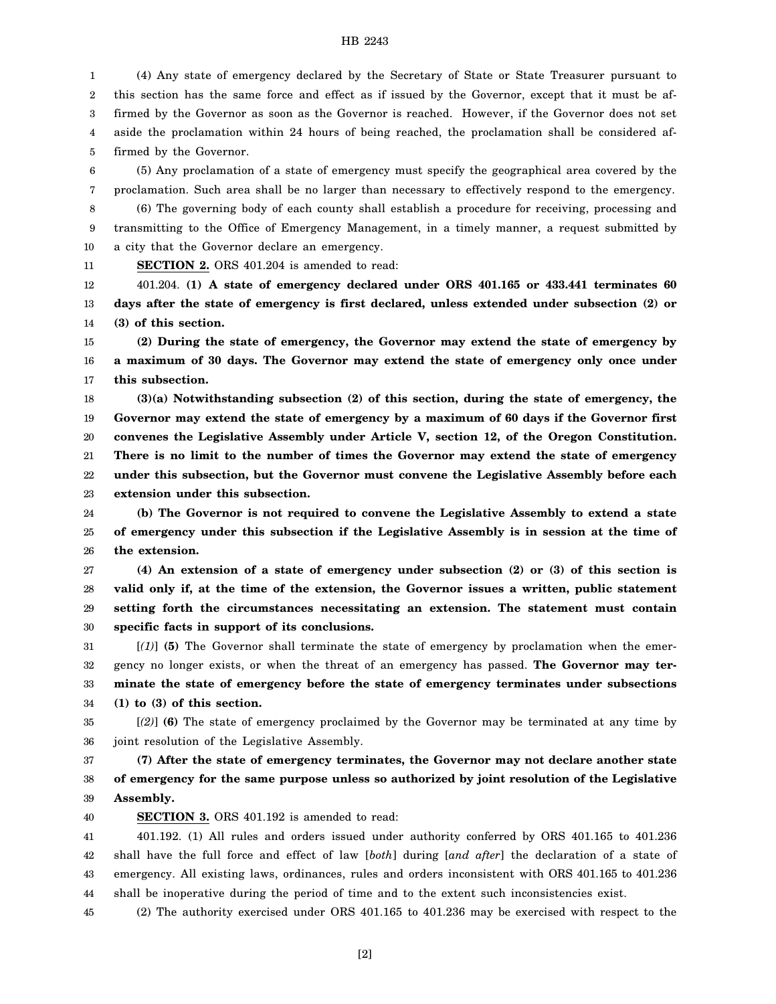### HB 2243

1 2 3 4 5 (4) Any state of emergency declared by the Secretary of State or State Treasurer pursuant to this section has the same force and effect as if issued by the Governor, except that it must be affirmed by the Governor as soon as the Governor is reached. However, if the Governor does not set aside the proclamation within 24 hours of being reached, the proclamation shall be considered affirmed by the Governor.

6 7 (5) Any proclamation of a state of emergency must specify the geographical area covered by the proclamation. Such area shall be no larger than necessary to effectively respond to the emergency.

8 9 10 (6) The governing body of each county shall establish a procedure for receiving, processing and transmitting to the Office of Emergency Management, in a timely manner, a request submitted by a city that the Governor declare an emergency.

11

**SECTION 2.** ORS 401.204 is amended to read:

12 13 14 401.204. **(1) A state of emergency declared under ORS 401.165 or 433.441 terminates 60 days after the state of emergency is first declared, unless extended under subsection (2) or (3) of this section.**

15 16 17 **(2) During the state of emergency, the Governor may extend the state of emergency by a maximum of 30 days. The Governor may extend the state of emergency only once under this subsection.**

18 19 20 21 22 23 **(3)(a) Notwithstanding subsection (2) of this section, during the state of emergency, the Governor may extend the state of emergency by a maximum of 60 days if the Governor first convenes the Legislative Assembly under Article V, section 12, of the Oregon Constitution. There is no limit to the number of times the Governor may extend the state of emergency under this subsection, but the Governor must convene the Legislative Assembly before each extension under this subsection.**

24 25 26 **(b) The Governor is not required to convene the Legislative Assembly to extend a state of emergency under this subsection if the Legislative Assembly is in session at the time of the extension.**

27 28 29 30 **(4) An extension of a state of emergency under subsection (2) or (3) of this section is valid only if, at the time of the extension, the Governor issues a written, public statement setting forth the circumstances necessitating an extension. The statement must contain specific facts in support of its conclusions.**

31 32 33 34 [*(1)*] **(5)** The Governor shall terminate the state of emergency by proclamation when the emergency no longer exists, or when the threat of an emergency has passed. **The Governor may terminate the state of emergency before the state of emergency terminates under subsections (1) to (3) of this section.**

35 36 [*(2)*] **(6)** The state of emergency proclaimed by the Governor may be terminated at any time by joint resolution of the Legislative Assembly.

37 38 39 **(7) After the state of emergency terminates, the Governor may not declare another state of emergency for the same purpose unless so authorized by joint resolution of the Legislative Assembly.**

40 **SECTION 3.** ORS 401.192 is amended to read:

41 42 43 44 401.192. (1) All rules and orders issued under authority conferred by ORS 401.165 to 401.236 shall have the full force and effect of law [*both*] during [*and after*] the declaration of a state of emergency. All existing laws, ordinances, rules and orders inconsistent with ORS 401.165 to 401.236 shall be inoperative during the period of time and to the extent such inconsistencies exist.

45 (2) The authority exercised under ORS 401.165 to 401.236 may be exercised with respect to the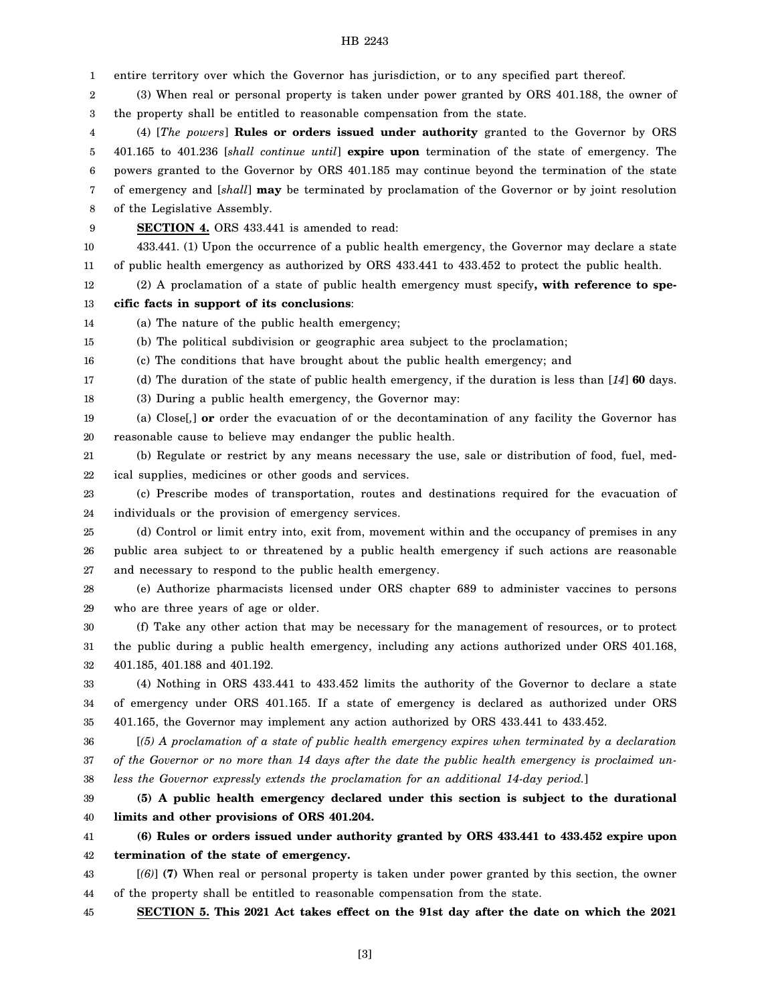### HB 2243

1 2 3 4 5 6 7 8 9 10 11 12 13 14 15 16 17 18 19 20 21 22 23 24 25 26 27 28 29 30 31 32 33 34 35 36 37 38 39 40 41 42 43 44 45 entire territory over which the Governor has jurisdiction, or to any specified part thereof. (3) When real or personal property is taken under power granted by ORS 401.188, the owner of the property shall be entitled to reasonable compensation from the state. (4) [*The powers*] **Rules or orders issued under authority** granted to the Governor by ORS 401.165 to 401.236 [*shall continue until*] **expire upon** termination of the state of emergency. The powers granted to the Governor by ORS 401.185 may continue beyond the termination of the state of emergency and [*shall*] **may** be terminated by proclamation of the Governor or by joint resolution of the Legislative Assembly. **SECTION 4.** ORS 433.441 is amended to read: 433.441. (1) Upon the occurrence of a public health emergency, the Governor may declare a state of public health emergency as authorized by ORS 433.441 to 433.452 to protect the public health. (2) A proclamation of a state of public health emergency must specify**, with reference to specific facts in support of its conclusions**: (a) The nature of the public health emergency; (b) The political subdivision or geographic area subject to the proclamation; (c) The conditions that have brought about the public health emergency; and (d) The duration of the state of public health emergency, if the duration is less than [*14*] **60** days. (3) During a public health emergency, the Governor may: (a) Close[*,*] **or** order the evacuation of or the decontamination of any facility the Governor has reasonable cause to believe may endanger the public health. (b) Regulate or restrict by any means necessary the use, sale or distribution of food, fuel, medical supplies, medicines or other goods and services. (c) Prescribe modes of transportation, routes and destinations required for the evacuation of individuals or the provision of emergency services. (d) Control or limit entry into, exit from, movement within and the occupancy of premises in any public area subject to or threatened by a public health emergency if such actions are reasonable and necessary to respond to the public health emergency. (e) Authorize pharmacists licensed under ORS chapter 689 to administer vaccines to persons who are three years of age or older. (f) Take any other action that may be necessary for the management of resources, or to protect the public during a public health emergency, including any actions authorized under ORS 401.168, 401.185, 401.188 and 401.192. (4) Nothing in ORS 433.441 to 433.452 limits the authority of the Governor to declare a state of emergency under ORS 401.165. If a state of emergency is declared as authorized under ORS 401.165, the Governor may implement any action authorized by ORS 433.441 to 433.452. [*(5) A proclamation of a state of public health emergency expires when terminated by a declaration of the Governor or no more than 14 days after the date the public health emergency is proclaimed unless the Governor expressly extends the proclamation for an additional 14-day period.*] **(5) A public health emergency declared under this section is subject to the durational limits and other provisions of ORS 401.204. (6) Rules or orders issued under authority granted by ORS 433.441 to 433.452 expire upon termination of the state of emergency.** [*(6)*] **(7)** When real or personal property is taken under power granted by this section, the owner of the property shall be entitled to reasonable compensation from the state. **SECTION 5. This 2021 Act takes effect on the 91st day after the date on which the 2021**